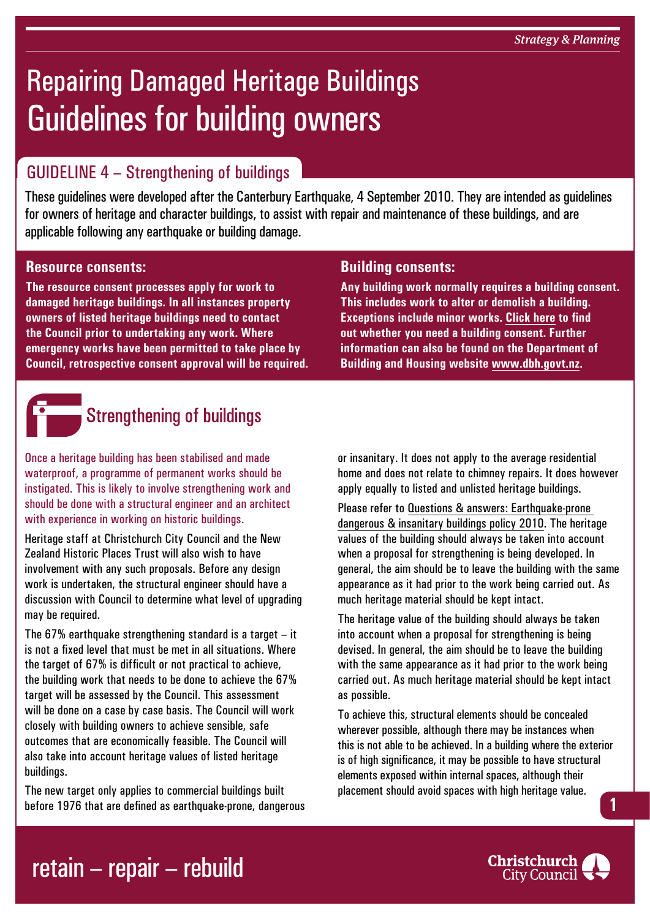# Repairing Damaged Heritage Buildings Guidelines for building owners

## GUIDELINE 4 – Strengthening of buildings

These guidelines were developed after the Canterbury Earthquake, 4 September 2010. They are intended as guidelines for owners of heritage and character buildings, to assist with repair and maintenance of these buildings, and are applicable following any earthquake or building damage.

#### **Resource consents:**

**The resource consent processes apply for work to damaged heritage buildings. In all instances property owners of listed heritage buildings need to contact the Council prior to undertaking any work. Where emergency works have been permitted to take place by Council, retrospective consent approval will be required.**



## **Strengthening of buildings**

Once a heritage building has been stabilised and made waterproof, a programme of permanent works should be instigated. This is likely to involve strengthening work and should be done with a structural engineer and an architect with experience in working on historic buildings.

Heritage staff at Christchurch City Council and the New Zealand Historic Places Trust will also wish to have involvement with any such proposals. Before any design work is undertaken, the structural engineer should have a discussion with Council to determine what level of upgrading may be required.

The 67% earthquake strengthening standard is a target – it is not a fixed level that must be met in all situations. Where the target of 67% is difficult or not practical to achieve, the building work that needs to be done to achieve the 67% target will be assessed by the Council. This assessment will be done on a case by case basis. The Council will work closely with building owners to achieve sensible, safe outcomes that are economically feasible. The Council will also take into account heritage values of listed heritage buildings.

The new target only applies to commercial buildings built before 1976 that are defined as earthquake-prone, dangerous

#### **Building consents:**

**Any building work normally requires a building consent. This includes work to alter or demolish a building. Exceptions include minor works. [Click here](http://www.ccc.govt.nz/homeliving/buildingplanning/buildingconsents/index.aspx) to find out whether you need a building consent. Further information can also be found on the Department of Building and Housing website [www.dbh.govt.nz](http://www.dbh.govt.nz).**

or insanitary. It does not apply to the average residential home and does not relate to chimney repairs. It does however apply equally to listed and unlisted heritage buildings.

Please refer to [Questions & answers: Earthquake-prone](http://www.ccc.govt.nz/thecouncil/policiesreportsstrategies/policies/groups/buildingplanning/earthquakepronebuildingspolicyqa.aspx)  [dangerous & insanitary buildings policy 2010.](http://www.ccc.govt.nz/thecouncil/policiesreportsstrategies/policies/groups/buildingplanning/earthquakepronebuildingspolicyqa.aspx) The heritage values of the building should always be taken into account when a proposal for strengthening is being developed. In general, the aim should be to leave the building with the same appearance as it had prior to the work being carried out. As much heritage material should be kept intact.

The heritage value of the building should always be taken into account when a proposal for strengthening is being devised. In general, the aim should be to leave the building with the same appearance as it had prior to the work being carried out. As much heritage material should be kept intact as possible.

To achieve this, structural elements should be concealed wherever possible, although there may be instances when this is not able to be achieved. In a building where the exterior is of high significance, it may be possible to have structural elements exposed within internal spaces, although their placement should avoid spaces with high heritage value. **1**



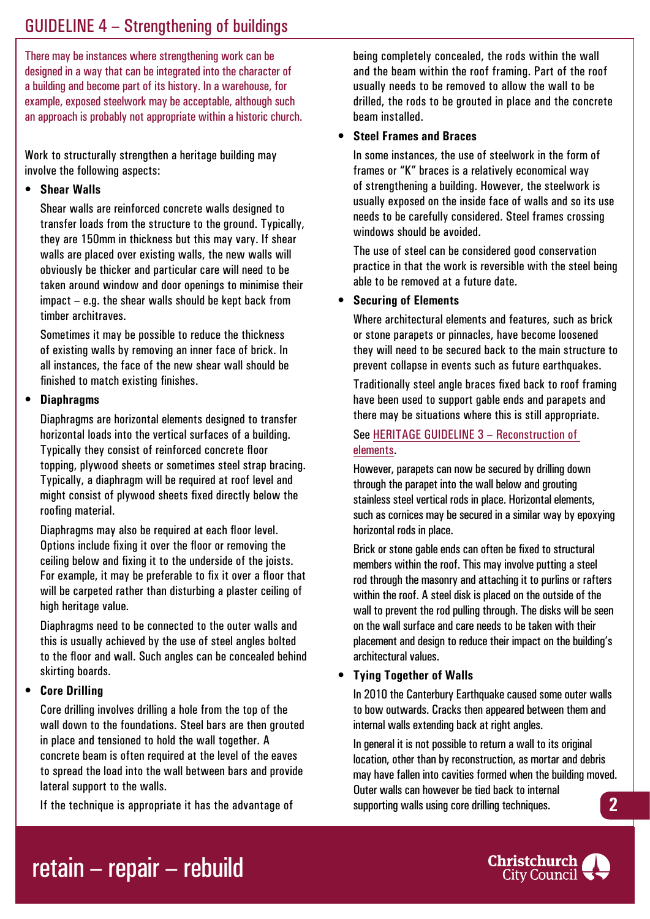### GUIDELINE 4 – Strengthening of buildings

There may be instances where strengthening work can be designed in a way that can be integrated into the character of a building and become part of its history. In a warehouse, for example, exposed steelwork may be acceptable, although such an approach is probably not appropriate within a historic church.

Work to structurally strengthen a heritage building may involve the following aspects:

#### **• Shear Walls**

Shear walls are reinforced concrete walls designed to transfer loads from the structure to the ground. Typically, they are 150mm in thickness but this may vary. If shear walls are placed over existing walls, the new walls will obviously be thicker and particular care will need to be taken around window and door openings to minimise their impact – e.g. the shear walls should be kept back from timber architraves.

Sometimes it may be possible to reduce the thickness of existing walls by removing an inner face of brick. In all instances, the face of the new shear wall should be finished to match existing finishes.

#### **• Diaphragms**

Diaphragms are horizontal elements designed to transfer horizontal loads into the vertical surfaces of a building. Typically they consist of reinforced concrete floor topping, plywood sheets or sometimes steel strap bracing. Typically, a diaphragm will be required at roof level and might consist of plywood sheets fixed directly below the roofing material.

Diaphragms may also be required at each floor level. Options include fixing it over the floor or removing the ceiling below and fixing it to the underside of the joists. For example, it may be preferable to fix it over a floor that will be carpeted rather than disturbing a plaster ceiling of high heritage value.

Diaphragms need to be connected to the outer walls and this is usually achieved by the use of steel angles bolted to the floor and wall. Such angles can be concealed behind skirting boards.

#### **• Core Drilling**

Core drilling involves drilling a hole from the top of the wall down to the foundations. Steel bars are then grouted in place and tensioned to hold the wall together. A concrete beam is often required at the level of the eaves to spread the load into the wall between bars and provide lateral support to the walls.

If the technique is appropriate it has the advantage of

being completely concealed, the rods within the wall and the beam within the roof framing. Part of the roof usually needs to be removed to allow the wall to be drilled, the rods to be grouted in place and the concrete beam installed.

#### • **Steel Frames and Braces**

In some instances, the use of steelwork in the form of frames or "K" braces is a relatively economical way of strengthening a building. However, the steelwork is usually exposed on the inside face of walls and so its use needs to be carefully considered. Steel frames crossing windows should be avoided.

The use of steel can be considered good conservation practice in that the work is reversible with the steel being able to be removed at a future date.

#### **• Securing of Elements**

Where architectural elements and features, such as brick or stone parapets or pinnacles, have become loosened they will need to be secured back to the main structure to prevent collapse in events such as future earthquakes.

Traditionally steel angle braces fixed back to roof framing have been used to support gable ends and parapets and there may be situations where this is still appropriate.

See HERITAGE GUIDELINE 3 – Reconstruction of elements.

However, parapets can now be secured by drilling down through the parapet into the wall below and grouting stainless steel vertical rods in place. Horizontal elements, such as cornices may be secured in a similar way by epoxying horizontal rods in place.

Brick or stone gable ends can often be fixed to structural members within the roof. This may involve putting a steel rod through the masonry and attaching it to purlins or rafters within the roof. A steel disk is placed on the outside of the wall to prevent the rod pulling through. The disks will be seen on the wall surface and care needs to be taken with their placement and design to reduce their impact on the building's architectural values.

#### **• Tying Together of Walls**

In 2010 the Canterbury Earthquake caused some outer walls to bow outwards. Cracks then appeared between them and internal walls extending back at right angles.

In general it is not possible to return a wall to its original location, other than by reconstruction, as mortar and debris may have fallen into cavities formed when the building moved. Outer walls can however be tied back to internal supporting walls using core drilling techniques. **2**

## retain – repair – rebuild